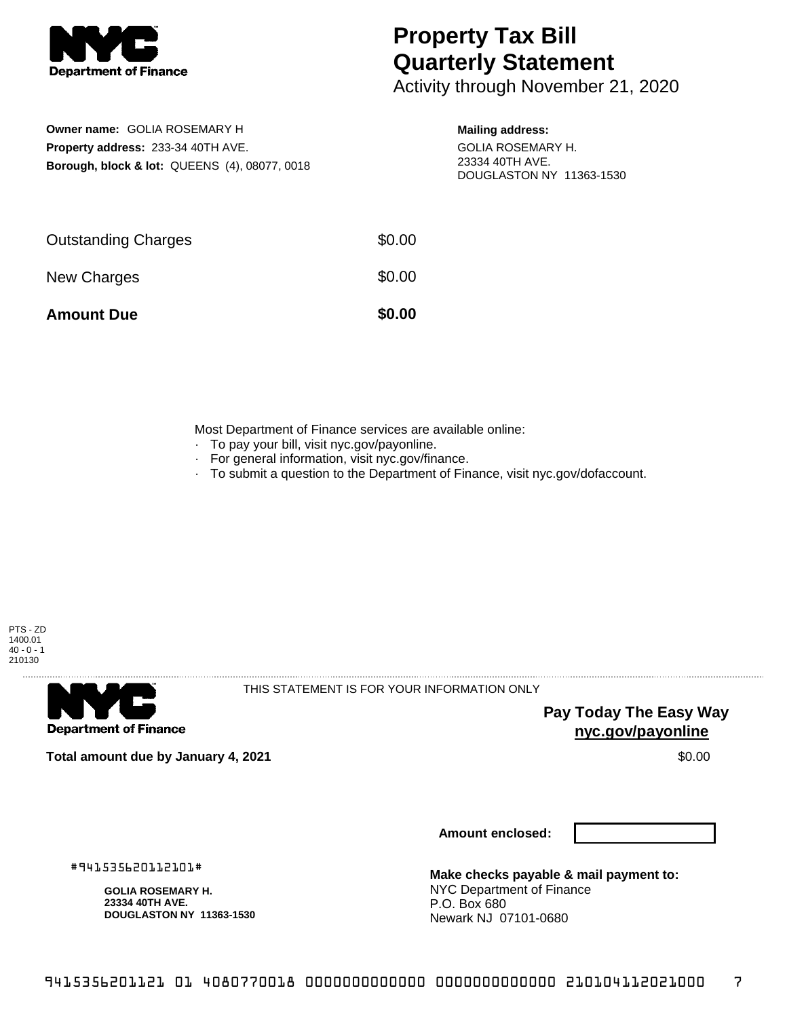

## **Property Tax Bill Quarterly Statement**

Activity through November 21, 2020

**Owner name:** GOLIA ROSEMARY H **Property address:** 233-34 40TH AVE. **Borough, block & lot:** QUEENS (4), 08077, 0018

## **Mailing address:**

GOLIA ROSEMARY H. 23334 40TH AVE. DOUGLASTON NY 11363-1530

| <b>Amount Due</b>          | \$0.00 |
|----------------------------|--------|
| New Charges                | \$0.00 |
| <b>Outstanding Charges</b> | \$0.00 |

Most Department of Finance services are available online:

- · To pay your bill, visit nyc.gov/payonline.
- For general information, visit nyc.gov/finance.
- · To submit a question to the Department of Finance, visit nyc.gov/dofaccount.



**Department of Finance** 

THIS STATEMENT IS FOR YOUR INFORMATION ONLY

**Pay Today The Easy Way nyc.gov/payonline**

**Total amount due by January 4, 2021** \$0.00

**Amount enclosed:**

#941535620112101#

**GOLIA ROSEMARY H. 23334 40TH AVE. DOUGLASTON NY 11363-1530**

**Make checks payable & mail payment to:** NYC Department of Finance P.O. Box 680 Newark NJ 07101-0680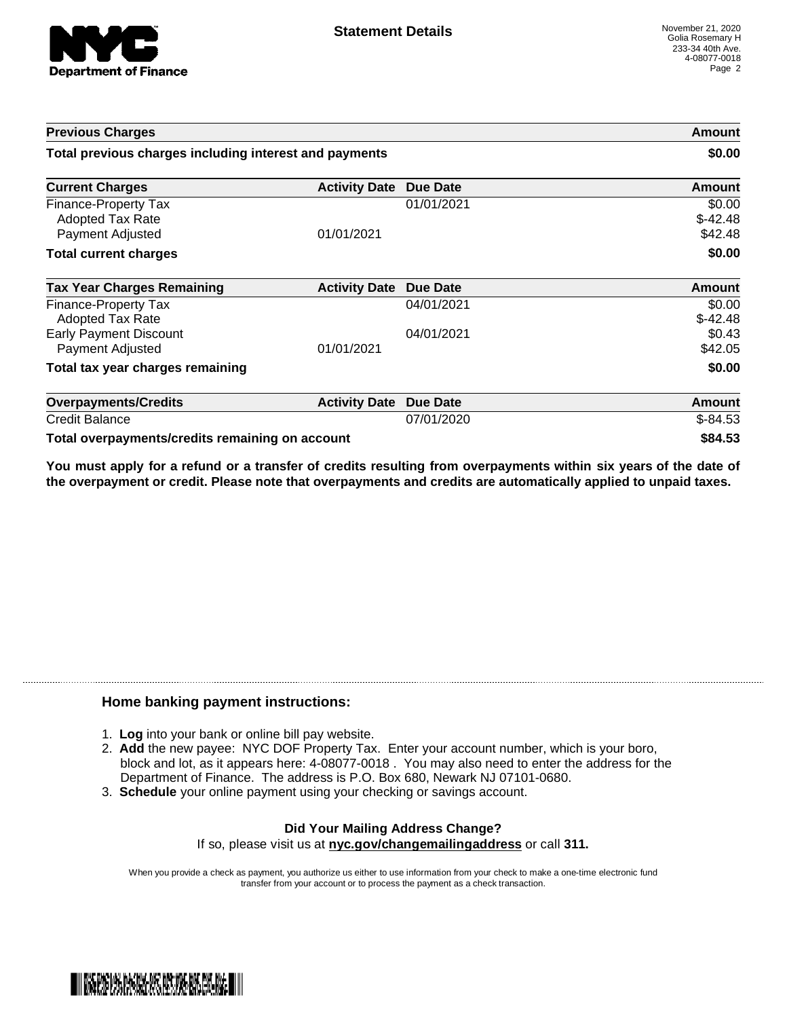

| <b>Previous Charges</b>                                             |                      |            | Amount                         |
|---------------------------------------------------------------------|----------------------|------------|--------------------------------|
| Total previous charges including interest and payments              |                      |            | \$0.00                         |
| <b>Current Charges</b>                                              | <b>Activity Date</b> | Due Date   | Amount                         |
| Finance-Property Tax<br><b>Adopted Tax Rate</b><br>Payment Adjusted | 01/01/2021           | 01/01/2021 | \$0.00<br>$$-42.48$<br>\$42.48 |
| <b>Total current charges</b>                                        |                      |            | \$0.00                         |
| <b>Tax Year Charges Remaining</b>                                   | <b>Activity Date</b> | Due Date   | Amount                         |
| Finance-Property Tax<br><b>Adopted Tax Rate</b>                     |                      | 04/01/2021 | \$0.00<br>$$-42.48$            |
| <b>Early Payment Discount</b><br>Payment Adjusted                   | 01/01/2021           | 04/01/2021 | \$0.43<br>\$42.05              |
| Total tax year charges remaining                                    |                      |            | \$0.00                         |
| <b>Overpayments/Credits</b>                                         | <b>Activity Date</b> | Due Date   | Amount                         |
| <b>Credit Balance</b>                                               |                      | 07/01/2020 | $$-84.53$                      |
| Total overpayments/credits remaining on account                     |                      |            | \$84.53                        |

You must apply for a refund or a transfer of credits resulting from overpayments within six years of the date of **the overpayment or credit. Please note that overpayments and credits are automatically applied to unpaid taxes.**

## **Home banking payment instructions:**

- 1. **Log** into your bank or online bill pay website.
- 2. **Add** the new payee: NYC DOF Property Tax. Enter your account number, which is your boro, block and lot, as it appears here: 4-08077-0018 . You may also need to enter the address for the Department of Finance. The address is P.O. Box 680, Newark NJ 07101-0680.
- 3. **Schedule** your online payment using your checking or savings account.

## **Did Your Mailing Address Change?** If so, please visit us at **nyc.gov/changemailingaddress** or call **311.**

When you provide a check as payment, you authorize us either to use information from your check to make a one-time electronic fund transfer from your account or to process the payment as a check transaction.